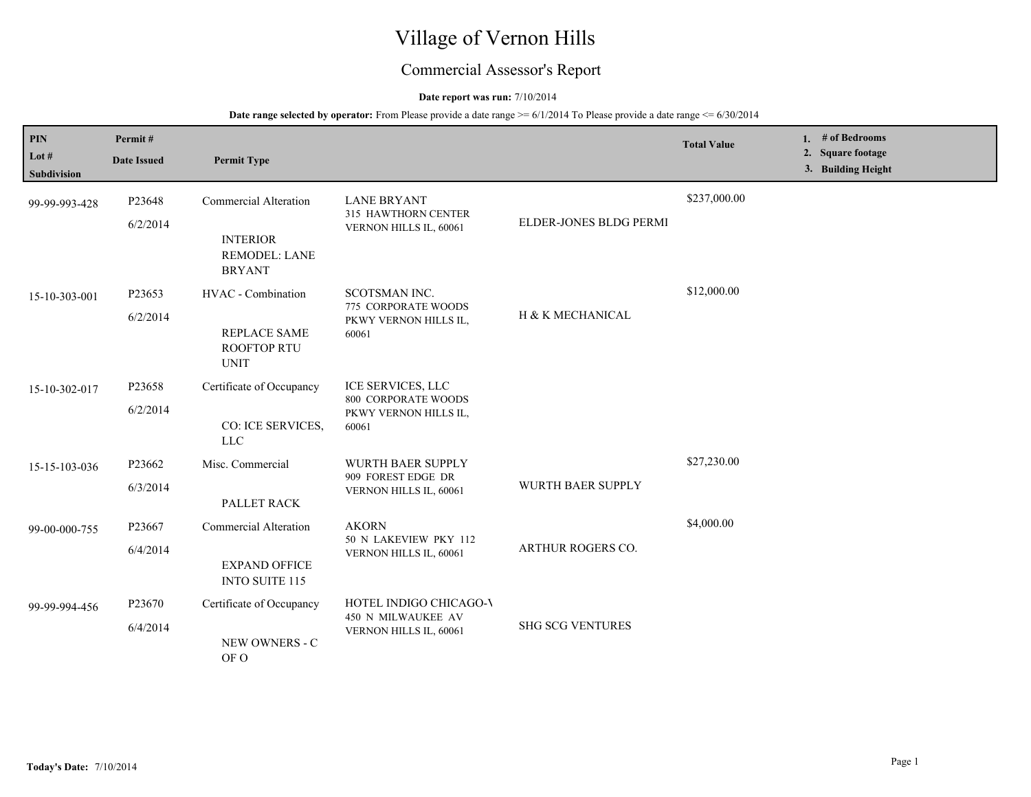# Village of Vernon Hills

## Commercial Assessor's Report

#### **Date report was run:** 7/10/2014

| <b>PIN</b><br>Lot $#$<br><b>Subdivision</b> | Permit#<br><b>Date Issued</b> | <b>Permit Type</b>                                                                       |                                                                                   |                             | <b>Total Value</b> | 1. $#$ of Bedrooms<br>2. Square footage<br>3. Building Height |
|---------------------------------------------|-------------------------------|------------------------------------------------------------------------------------------|-----------------------------------------------------------------------------------|-----------------------------|--------------------|---------------------------------------------------------------|
| 99-99-993-428                               | P23648<br>6/2/2014            | <b>Commercial Alteration</b><br><b>INTERIOR</b><br><b>REMODEL: LANE</b><br><b>BRYANT</b> | <b>LANE BRYANT</b><br>315 HAWTHORN CENTER<br>VERNON HILLS IL, 60061               | ELDER-JONES BLDG PERMI      | \$237,000.00       |                                                               |
| 15-10-303-001                               | P23653<br>6/2/2014            | HVAC - Combination<br><b>REPLACE SAME</b><br><b>ROOFTOP RTU</b><br><b>UNIT</b>           | SCOTSMAN INC.<br>775 CORPORATE WOODS<br>PKWY VERNON HILLS IL,<br>60061            | <b>H &amp; K MECHANICAL</b> | \$12,000.00        |                                                               |
| 15-10-302-017                               | P23658<br>6/2/2014            | Certificate of Occupancy<br>CO: ICE SERVICES,<br>${\rm LLC}$                             | ICE SERVICES, LLC<br><b>800 CORPORATE WOODS</b><br>PKWY VERNON HILLS IL,<br>60061 |                             |                    |                                                               |
| 15-15-103-036                               | P23662<br>6/3/2014            | Misc. Commercial<br>PALLET RACK                                                          | <b>WURTH BAER SUPPLY</b><br>909 FOREST EDGE DR<br>VERNON HILLS IL, 60061          | WURTH BAER SUPPLY           | \$27,230.00        |                                                               |
| 99-00-000-755                               | P23667<br>6/4/2014            | <b>Commercial Alteration</b><br><b>EXPAND OFFICE</b><br><b>INTO SUITE 115</b>            | <b>AKORN</b><br>50 N LAKEVIEW PKY 112<br>VERNON HILLS IL, 60061                   | ARTHUR ROGERS CO.           | \$4,000.00         |                                                               |
| 99-99-994-456                               | P23670<br>6/4/2014            | Certificate of Occupancy<br>NEW OWNERS - C<br>OF O                                       | HOTEL INDIGO CHICAGO-V<br>450 N MILWAUKEE AV<br>VERNON HILLS IL, 60061            | <b>SHG SCG VENTURES</b>     |                    |                                                               |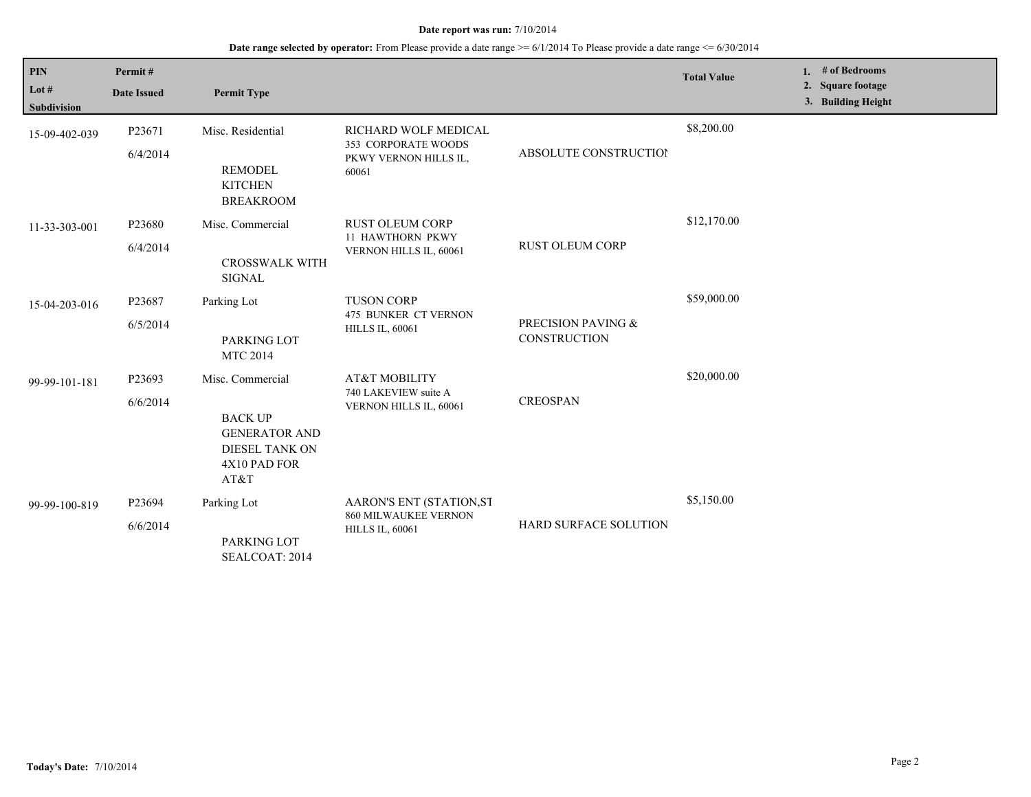| $\mathbf{PIN}$<br>Lot $#$<br><b>Subdivision</b> | Permit#<br><b>Date Issued</b> | <b>Permit Type</b>                                                                                          |                                                                               |                                    | <b>Total Value</b> | 1. # of Bedrooms<br>2. Square footage<br>3. Building Height |
|-------------------------------------------------|-------------------------------|-------------------------------------------------------------------------------------------------------------|-------------------------------------------------------------------------------|------------------------------------|--------------------|-------------------------------------------------------------|
| 15-09-402-039                                   | P23671<br>6/4/2014            | Misc. Residential<br><b>REMODEL</b><br><b>KITCHEN</b><br><b>BREAKROOM</b>                                   | RICHARD WOLF MEDICAL<br>353 CORPORATE WOODS<br>PKWY VERNON HILLS IL,<br>60061 | <b>ABSOLUTE CONSTRUCTION</b>       | \$8,200.00         |                                                             |
| 11-33-303-001                                   | P23680<br>6/4/2014            | Misc. Commercial<br><b>CROSSWALK WITH</b><br><b>SIGNAL</b>                                                  | <b>RUST OLEUM CORP</b><br>11 HAWTHORN PKWY<br>VERNON HILLS IL, 60061          | RUST OLEUM CORP                    | \$12,170.00        |                                                             |
| 15-04-203-016                                   | P23687<br>6/5/2014            | Parking Lot<br>PARKING LOT<br><b>MTC 2014</b>                                                               | <b>TUSON CORP</b><br>475 BUNKER CT VERNON<br><b>HILLS IL, 60061</b>           | PRECISION PAVING &<br>CONSTRUCTION | \$59,000.00        |                                                             |
| 99-99-101-181                                   | P23693<br>6/6/2014            | Misc. Commercial<br><b>BACK UP</b><br><b>GENERATOR AND</b><br><b>DIESEL TANK ON</b><br>4X10 PAD FOR<br>AT&T | AT&T MOBILITY<br>740 LAKEVIEW suite A<br>VERNON HILLS IL, 60061               | <b>CREOSPAN</b>                    | \$20,000.00        |                                                             |
| 99-99-100-819                                   | P23694<br>6/6/2014            | Parking Lot<br>PARKING LOT<br>SEALCOAT: 2014                                                                | AARON'S ENT (STATION,ST<br>860 MILWAUKEE VERNON<br><b>HILLS IL, 60061</b>     | <b>HARD SURFACE SOLUTION</b>       | \$5,150.00         |                                                             |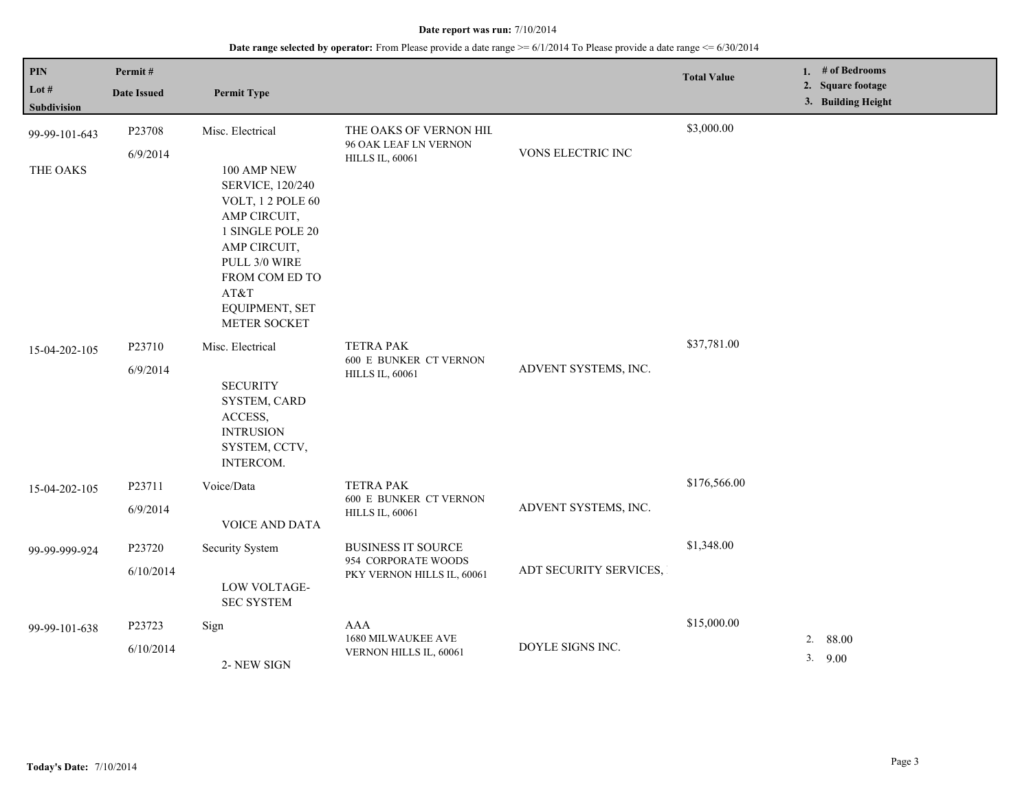| $\mathbf{PIN}$<br>Lot $#$<br>Subdivision | Permit#<br><b>Date Issued</b> | <b>Permit Type</b>                                                                                                                                                                                       |                                                                                |                        | <b>Total Value</b> | 1. $#$ of Bedrooms<br>2. Square footage<br>3. Building Height |
|------------------------------------------|-------------------------------|----------------------------------------------------------------------------------------------------------------------------------------------------------------------------------------------------------|--------------------------------------------------------------------------------|------------------------|--------------------|---------------------------------------------------------------|
| 99-99-101-643<br>THE OAKS                | P23708<br>6/9/2014            | Misc. Electrical<br>100 AMP NEW<br>SERVICE, 120/240<br>VOLT, 12 POLE 60<br>AMP CIRCUIT,<br>1 SINGLE POLE 20<br>AMP CIRCUIT,<br>PULL 3/0 WIRE<br>FROM COM ED TO<br>AT&T<br>EQUIPMENT, SET<br>METER SOCKET | THE OAKS OF VERNON HIL<br>96 OAK LEAF LN VERNON<br><b>HILLS IL, 60061</b>      | VONS ELECTRIC INC      | \$3,000.00         |                                                               |
| 15-04-202-105                            | P23710<br>6/9/2014            | Misc. Electrical<br><b>SECURITY</b><br>SYSTEM, CARD<br>ACCESS,<br><b>INTRUSION</b><br>SYSTEM, CCTV,<br>INTERCOM.                                                                                         | <b>TETRA PAK</b><br>600 E BUNKER CT VERNON<br><b>HILLS IL, 60061</b>           | ADVENT SYSTEMS, INC.   | \$37,781.00        |                                                               |
| 15-04-202-105                            | P23711<br>6/9/2014            | Voice/Data<br>VOICE AND DATA                                                                                                                                                                             | <b>TETRA PAK</b><br><b>600 E BUNKER CT VERNON</b><br><b>HILLS IL, 60061</b>    | ADVENT SYSTEMS, INC.   | \$176,566.00       |                                                               |
| 99-99-999-924                            | P23720<br>6/10/2014           | <b>Security System</b><br>LOW VOLTAGE-<br><b>SEC SYSTEM</b>                                                                                                                                              | <b>BUSINESS IT SOURCE</b><br>954 CORPORATE WOODS<br>PKY VERNON HILLS IL, 60061 | ADT SECURITY SERVICES, | \$1,348.00         |                                                               |
| 99-99-101-638                            | P23723<br>6/10/2014           | Sign<br>2-NEW SIGN                                                                                                                                                                                       | AAA<br>1680 MILWAUKEE AVE<br>VERNON HILLS IL, 60061                            | DOYLE SIGNS INC.       | \$15,000.00        | 2.<br>88.00<br>3.9.00                                         |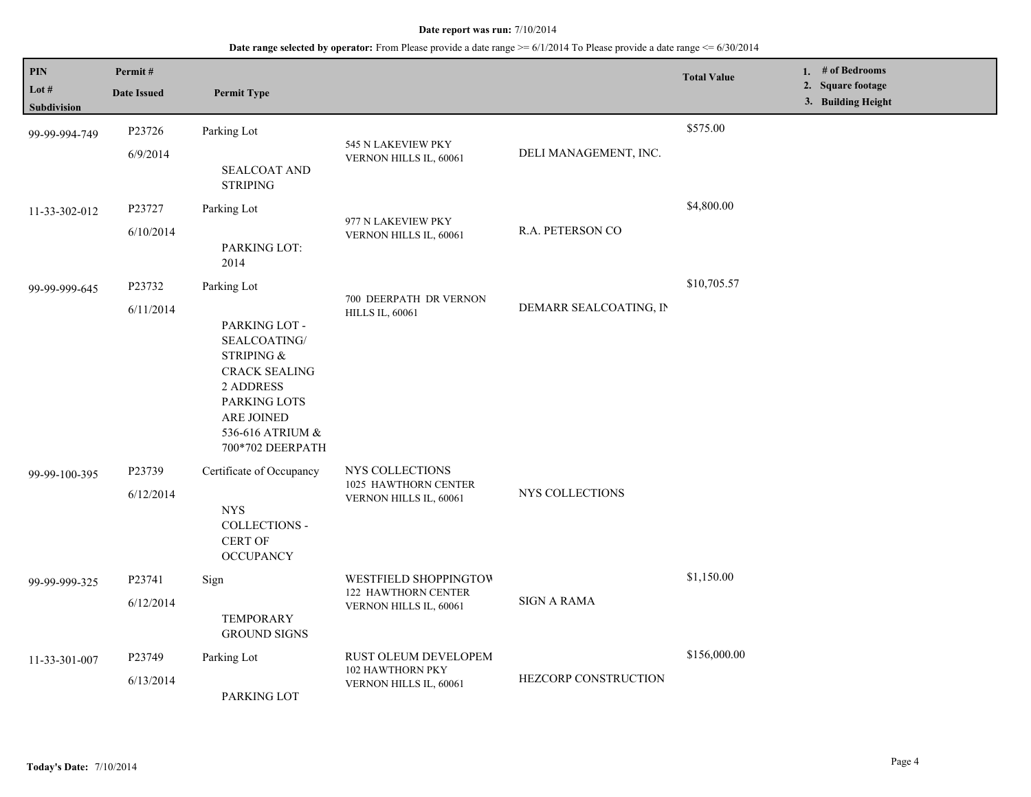| <b>PIN</b><br>Lot $#$<br><b>Subdivision</b> | Permit#<br><b>Date Issued</b> | <b>Permit Type</b>                                                                                                                                                           |                                                                        |                        | <b>Total Value</b> | 1. $#$ of Bedrooms<br>2. Square footage<br>3. Building Height |
|---------------------------------------------|-------------------------------|------------------------------------------------------------------------------------------------------------------------------------------------------------------------------|------------------------------------------------------------------------|------------------------|--------------------|---------------------------------------------------------------|
| 99-99-994-749                               | P23726<br>6/9/2014            | Parking Lot<br><b>SEALCOAT AND</b><br><b>STRIPING</b>                                                                                                                        | 545 N LAKEVIEW PKY<br>VERNON HILLS IL, 60061                           | DELI MANAGEMENT, INC.  | \$575.00           |                                                               |
| 11-33-302-012                               | P23727<br>6/10/2014           | Parking Lot<br>PARKING LOT:<br>2014                                                                                                                                          | 977 N LAKEVIEW PKY<br>VERNON HILLS IL, 60061                           | R.A. PETERSON CO       | \$4,800.00         |                                                               |
| 99-99-999-645                               | P23732<br>6/11/2014           | Parking Lot<br>PARKING LOT -<br>SEALCOATING/<br>STRIPING &<br><b>CRACK SEALING</b><br><b>2 ADDRESS</b><br>PARKING LOTS<br>ARE JOINED<br>536-616 ATRIUM &<br>700*702 DEERPATH | 700 DEERPATH DR VERNON<br><b>HILLS IL, 60061</b>                       | DEMARR SEALCOATING, IN | \$10,705.57        |                                                               |
| 99-99-100-395                               | P23739<br>6/12/2014           | Certificate of Occupancy<br><b>NYS</b><br>COLLECTIONS -<br>CERT OF<br><b>OCCUPANCY</b>                                                                                       | NYS COLLECTIONS<br>1025 HAWTHORN CENTER<br>VERNON HILLS IL, 60061      | NYS COLLECTIONS        |                    |                                                               |
| 99-99-999-325                               | P23741<br>6/12/2014           | Sign<br><b>TEMPORARY</b><br><b>GROUND SIGNS</b>                                                                                                                              | WESTFIELD SHOPPINGTOW<br>122 HAWTHORN CENTER<br>VERNON HILLS IL, 60061 | <b>SIGN A RAMA</b>     | \$1,150.00         |                                                               |
| 11-33-301-007                               | P23749<br>6/13/2014           | Parking Lot<br>PARKING LOT                                                                                                                                                   | RUST OLEUM DEVELOPEM<br>102 HAWTHORN PKY<br>VERNON HILLS IL, 60061     | HEZCORP CONSTRUCTION   | \$156,000.00       |                                                               |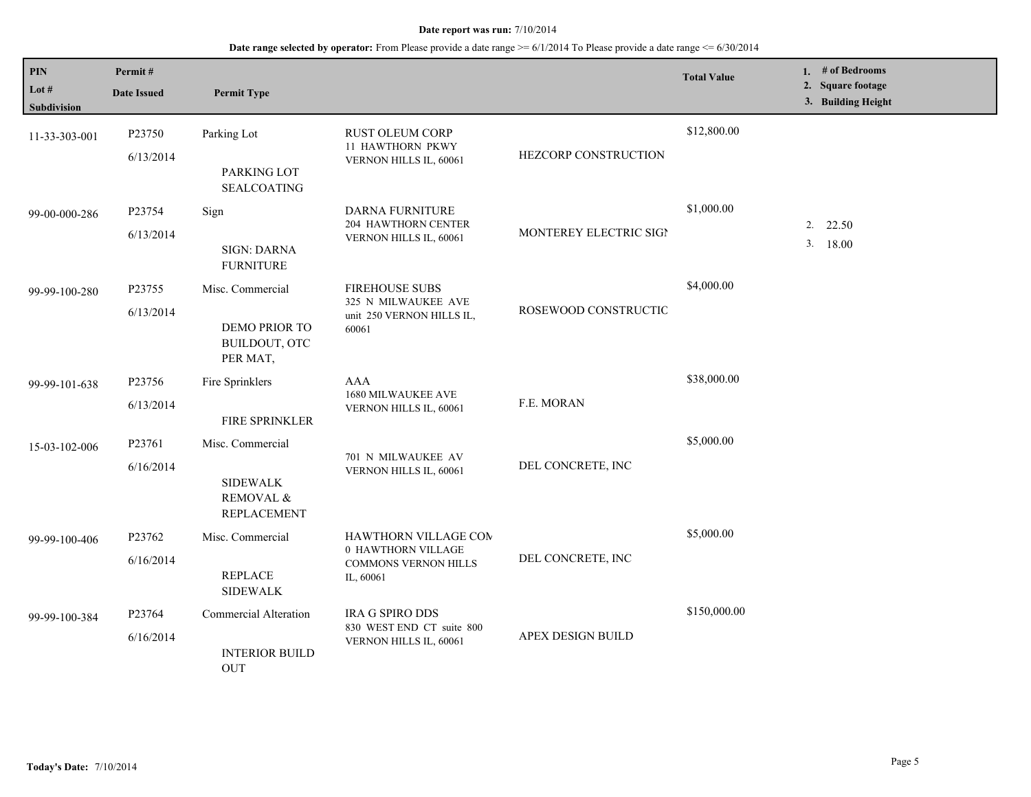| <b>PIN</b><br>Lot $#$<br><b>Subdivision</b> | Permit#<br><b>Date Issued</b>   | <b>Permit Type</b>                                                     |                                                                                    |                        | <b>Total Value</b> | 1. $#$ of Bedrooms<br>2. Square footage<br>3. Building Height |
|---------------------------------------------|---------------------------------|------------------------------------------------------------------------|------------------------------------------------------------------------------------|------------------------|--------------------|---------------------------------------------------------------|
| 11-33-303-001                               | P23750<br>6/13/2014             | Parking Lot<br>PARKING LOT<br><b>SEALCOATING</b>                       | RUST OLEUM CORP<br>11 HAWTHORN PKWY<br>VERNON HILLS IL, 60061                      | HEZCORP CONSTRUCTION   | \$12,800.00        |                                                               |
| 99-00-000-286                               | P23754<br>6/13/2014             | Sign<br><b>SIGN: DARNA</b><br><b>FURNITURE</b>                         | DARNA FURNITURE<br>204 HAWTHORN CENTER<br>VERNON HILLS IL, 60061                   | MONTEREY ELECTRIC SIGI | \$1,000.00         | 22.50<br>2.<br>3.<br>18.00                                    |
| 99-99-100-280                               | P23755<br>6/13/2014             | Misc. Commercial<br>DEMO PRIOR TO<br>BUILDOUT, OTC<br>PER MAT,         | <b>FIREHOUSE SUBS</b><br>325 N MILWAUKEE AVE<br>unit 250 VERNON HILLS IL,<br>60061 | ROSEWOOD CONSTRUCTIC   | \$4,000.00         |                                                               |
| 99-99-101-638                               | P23756<br>6/13/2014             | Fire Sprinklers<br>FIRE SPRINKLER                                      | AAA<br>1680 MILWAUKEE AVE<br>VERNON HILLS IL, 60061                                | F.E. MORAN             | \$38,000.00        |                                                               |
| 15-03-102-006                               | P23761<br>6/16/2014             | Misc. Commercial<br><b>SIDEWALK</b><br>REMOVAL &<br><b>REPLACEMENT</b> | 701 N MILWAUKEE AV<br>VERNON HILLS IL, 60061                                       | DEL CONCRETE, INC      | \$5,000.00         |                                                               |
| 99-99-100-406                               | P23762<br>6/16/2014             | Misc. Commercial<br><b>REPLACE</b><br><b>SIDEWALK</b>                  | HAWTHORN VILLAGE COM<br>0 HAWTHORN VILLAGE<br>COMMONS VERNON HILLS<br>IL, 60061    | DEL CONCRETE, INC      | \$5,000.00         |                                                               |
| 99-99-100-384                               | P <sub>23764</sub><br>6/16/2014 | Commercial Alteration<br><b>INTERIOR BUILD</b><br><b>OUT</b>           | IRA G SPIRO DDS<br>830 WEST END CT suite 800<br>VERNON HILLS IL, 60061             | APEX DESIGN BUILD      | \$150,000.00       |                                                               |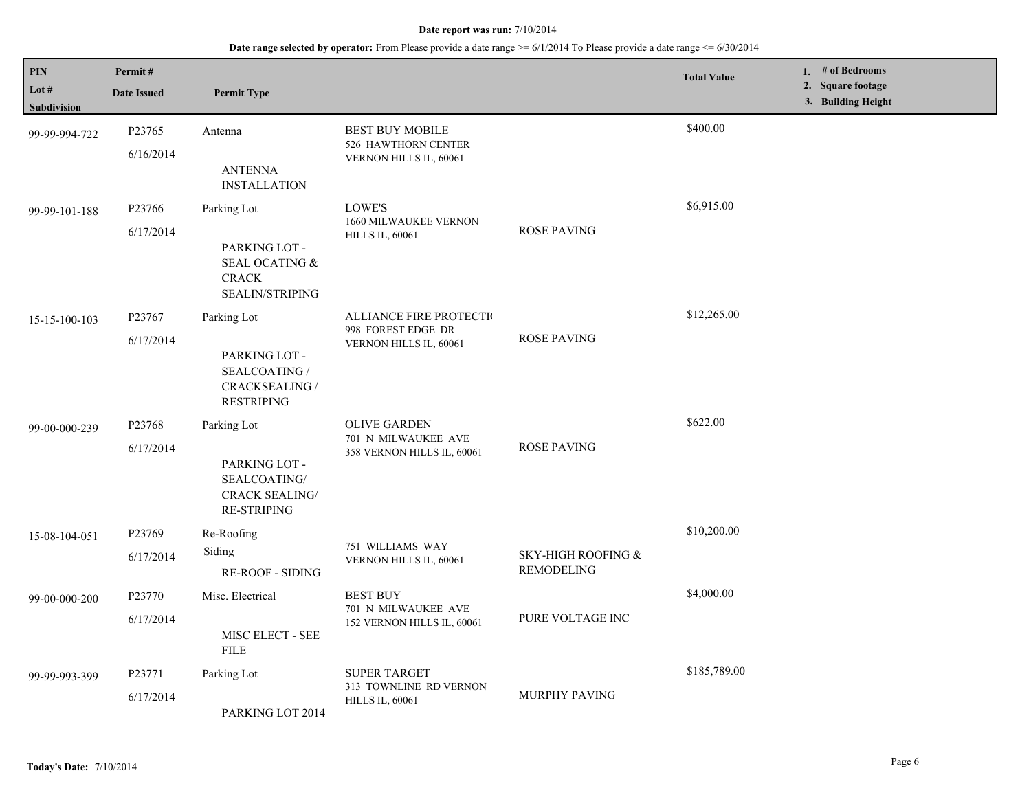| PIN<br>Lot $#$<br>Subdivision | Permit#<br><b>Date Issued</b> | <b>Permit Type</b>                                                                          |                                                                                 |                                         | <b>Total Value</b> | 1. # of Bedrooms<br>2. Square footage<br>3. Building Height |
|-------------------------------|-------------------------------|---------------------------------------------------------------------------------------------|---------------------------------------------------------------------------------|-----------------------------------------|--------------------|-------------------------------------------------------------|
| 99-99-994-722                 | P23765<br>6/16/2014           | Antenna<br><b>ANTENNA</b><br><b>INSTALLATION</b>                                            | <b>BEST BUY MOBILE</b><br>526 HAWTHORN CENTER<br>VERNON HILLS IL, 60061         |                                         | \$400.00           |                                                             |
| 99-99-101-188                 | P23766<br>6/17/2014           | Parking Lot<br>PARKING LOT -<br>SEAL OCATING &<br><b>CRACK</b><br><b>SEALIN/STRIPING</b>    | <b>LOWE'S</b><br>1660 MILWAUKEE VERNON<br><b>HILLS IL, 60061</b>                | <b>ROSE PAVING</b>                      | \$6,915.00         |                                                             |
| 15-15-100-103                 | P23767<br>6/17/2014           | Parking Lot<br>PARKING LOT -<br>SEALCOATING /<br><b>CRACKSEALING /</b><br><b>RESTRIPING</b> | <b>ALLIANCE FIRE PROTECTION</b><br>998 FOREST EDGE DR<br>VERNON HILLS IL, 60061 | <b>ROSE PAVING</b>                      | \$12,265.00        |                                                             |
| 99-00-000-239                 | P23768<br>6/17/2014           | Parking Lot<br>PARKING LOT -<br>SEALCOATING/<br><b>CRACK SEALING/</b><br><b>RE-STRIPING</b> | <b>OLIVE GARDEN</b><br>701 N MILWAUKEE AVE<br>358 VERNON HILLS IL, 60061        | <b>ROSE PAVING</b>                      | \$622.00           |                                                             |
| 15-08-104-051                 | P23769<br>6/17/2014           | Re-Roofing<br>Siding<br><b>RE-ROOF - SIDING</b>                                             | 751 WILLIAMS WAY<br>VERNON HILLS IL, 60061                                      | SKY-HIGH ROOFING &<br><b>REMODELING</b> | \$10,200.00        |                                                             |
| 99-00-000-200                 | P23770<br>6/17/2014           | Misc. Electrical<br>MISC ELECT - SEE<br>${\rm FILE}$                                        | <b>BEST BUY</b><br>701 N MILWAUKEE AVE<br>152 VERNON HILLS IL, 60061            | PURE VOLTAGE INC                        | \$4,000.00         |                                                             |
| 99-99-993-399                 | P23771<br>6/17/2014           | Parking Lot<br>PARKING LOT 2014                                                             | <b>SUPER TARGET</b><br>313 TOWNLINE RD VERNON<br><b>HILLS IL, 60061</b>         | MURPHY PAVING                           | \$185,789.00       |                                                             |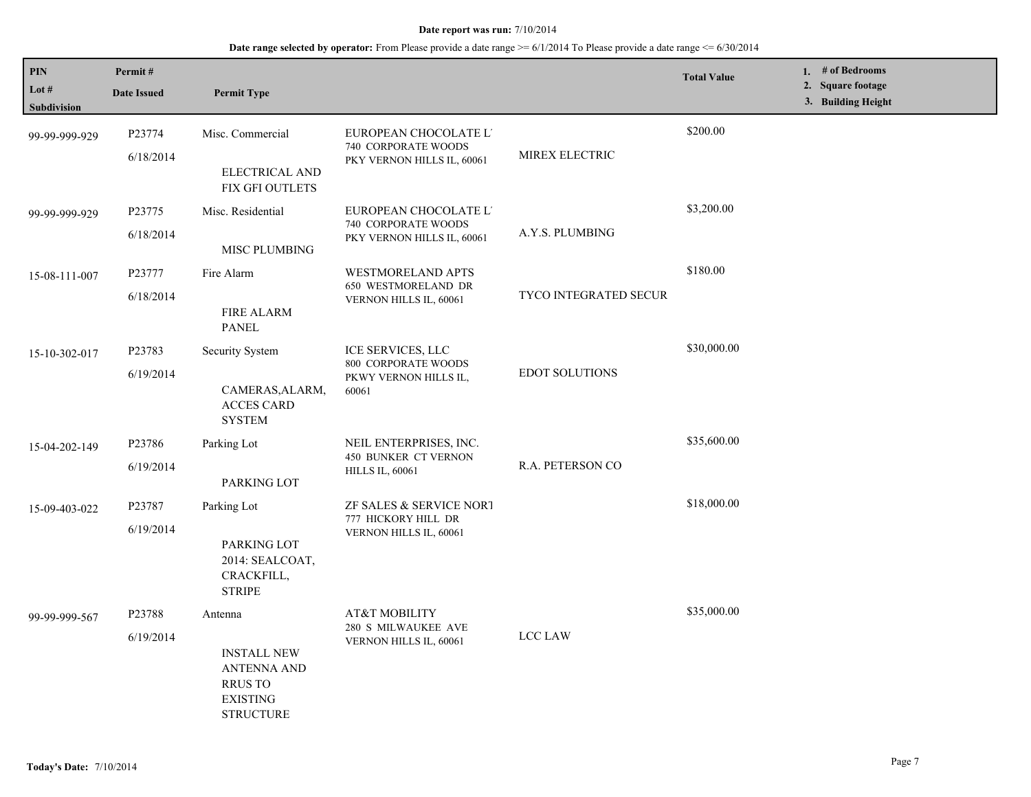| PIN<br>Lot #<br>Subdivision | Permit#<br><b>Date Issued</b> | <b>Permit Type</b>                                                                                           |                                                                            |                              | <b>Total Value</b> | 1. # of Bedrooms<br>2. Square footage<br>3. Building Height |
|-----------------------------|-------------------------------|--------------------------------------------------------------------------------------------------------------|----------------------------------------------------------------------------|------------------------------|--------------------|-------------------------------------------------------------|
| 99-99-999-929               | P23774<br>6/18/2014           | Misc. Commercial<br>ELECTRICAL AND<br><b>FIX GFI OUTLETS</b>                                                 | EUROPEAN CHOCOLATE L'<br>740 CORPORATE WOODS<br>PKY VERNON HILLS IL, 60061 | MIREX ELECTRIC               | \$200.00           |                                                             |
| 99-99-999-929               | P23775<br>6/18/2014           | Misc. Residential<br>MISC PLUMBING                                                                           | EUROPEAN CHOCOLATE L'<br>740 CORPORATE WOODS<br>PKY VERNON HILLS IL, 60061 | A.Y.S. PLUMBING              | \$3,200.00         |                                                             |
| 15-08-111-007               | P23777<br>6/18/2014           | Fire Alarm<br><b>FIRE ALARM</b><br><b>PANEL</b>                                                              | <b>WESTMORELAND APTS</b><br>650 WESTMORELAND DR<br>VERNON HILLS IL, 60061  | <b>TYCO INTEGRATED SECUR</b> | \$180.00           |                                                             |
| 15-10-302-017               | P23783<br>6/19/2014           | Security System<br>CAMERAS, ALARM,<br><b>ACCES CARD</b><br><b>SYSTEM</b>                                     | ICE SERVICES, LLC<br>800 CORPORATE WOODS<br>PKWY VERNON HILLS IL,<br>60061 | <b>EDOT SOLUTIONS</b>        | \$30,000.00        |                                                             |
| 15-04-202-149               | P23786<br>6/19/2014           | Parking Lot<br>PARKING LOT                                                                                   | NEIL ENTERPRISES, INC.<br>450 BUNKER CT VERNON<br><b>HILLS IL, 60061</b>   | R.A. PETERSON CO             | \$35,600.00        |                                                             |
| 15-09-403-022               | P23787<br>6/19/2014           | Parking Lot<br>PARKING LOT<br>2014: SEALCOAT,<br>CRACKFILL,<br><b>STRIPE</b>                                 | ZF SALES & SERVICE NORT<br>777 HICKORY HILL DR<br>VERNON HILLS IL, 60061   |                              | \$18,000.00        |                                                             |
| 99-99-999-567               | P23788<br>6/19/2014           | Antenna<br><b>INSTALL NEW</b><br><b>ANTENNA AND</b><br><b>RRUS TO</b><br><b>EXISTING</b><br><b>STRUCTURE</b> | AT&T MOBILITY<br>280 S MILWAUKEE AVE<br>VERNON HILLS IL, 60061             | LCC LAW                      | \$35,000.00        |                                                             |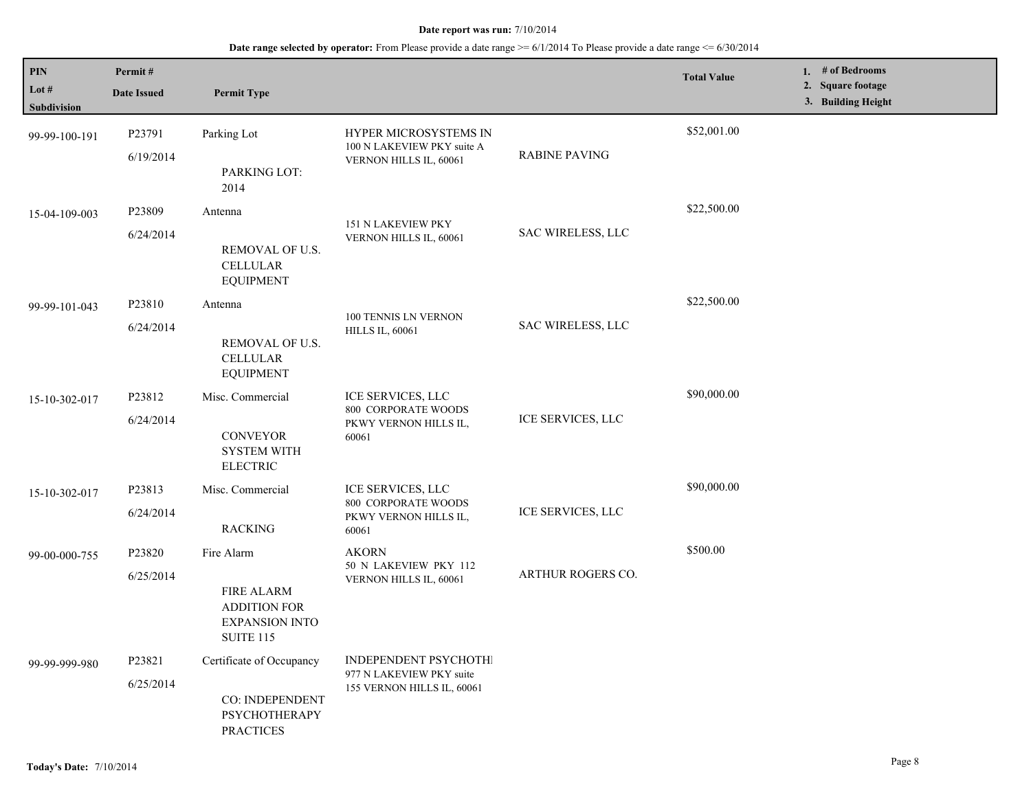| PIN<br>Lot #<br>Subdivision | Permit#<br><b>Date Issued</b>   | <b>Permit Type</b>                                                                                  |                                                                                 |                      | <b>Total Value</b> | 1. # of Bedrooms<br>2. Square footage<br>3. Building Height |
|-----------------------------|---------------------------------|-----------------------------------------------------------------------------------------------------|---------------------------------------------------------------------------------|----------------------|--------------------|-------------------------------------------------------------|
| 99-99-100-191               | P <sub>23791</sub><br>6/19/2014 | Parking Lot<br>PARKING LOT:                                                                         | HYPER MICROSYSTEMS IN<br>100 N LAKEVIEW PKY suite A<br>VERNON HILLS IL, 60061   | <b>RABINE PAVING</b> | \$52,001.00        |                                                             |
| 15-04-109-003               | P23809<br>6/24/2014             | 2014<br>Antenna<br>REMOVAL OF U.S.<br><b>CELLULAR</b>                                               | 151 N LAKEVIEW PKY<br>VERNON HILLS IL, 60061                                    | SAC WIRELESS, LLC    | \$22,500.00        |                                                             |
| 99-99-101-043               | P23810<br>6/24/2014             | <b>EQUIPMENT</b><br>Antenna<br>REMOVAL OF U.S.<br><b>CELLULAR</b><br><b>EQUIPMENT</b>               | 100 TENNIS LN VERNON<br><b>HILLS IL, 60061</b>                                  | SAC WIRELESS, LLC    | \$22,500.00        |                                                             |
| 15-10-302-017               | P23812<br>6/24/2014             | Misc. Commercial<br><b>CONVEYOR</b><br><b>SYSTEM WITH</b><br><b>ELECTRIC</b>                        | ICE SERVICES, LLC<br>800 CORPORATE WOODS<br>PKWY VERNON HILLS IL,<br>60061      | ICE SERVICES, LLC    | \$90,000.00        |                                                             |
| 15-10-302-017               | P23813<br>6/24/2014             | Misc. Commercial<br><b>RACKING</b>                                                                  | ICE SERVICES, LLC<br>800 CORPORATE WOODS<br>PKWY VERNON HILLS IL,<br>60061      | ICE SERVICES, LLC    | \$90,000.00        |                                                             |
| 99-00-000-755               | P23820<br>6/25/2014             | Fire Alarm<br><b>FIRE ALARM</b><br><b>ADDITION FOR</b><br><b>EXPANSION INTO</b><br><b>SUITE 115</b> | <b>AKORN</b><br>50 N LAKEVIEW PKY 112<br>VERNON HILLS IL, 60061                 | ARTHUR ROGERS CO.    | \$500.00           |                                                             |
| 99-99-999-980               | P23821<br>6/25/2014             | Certificate of Occupancy<br>CO: INDEPENDENT<br>PSYCHOTHERAPY<br><b>PRACTICES</b>                    | INDEPENDENT PSYCHOTHI<br>977 N LAKEVIEW PKY suite<br>155 VERNON HILLS IL, 60061 |                      |                    |                                                             |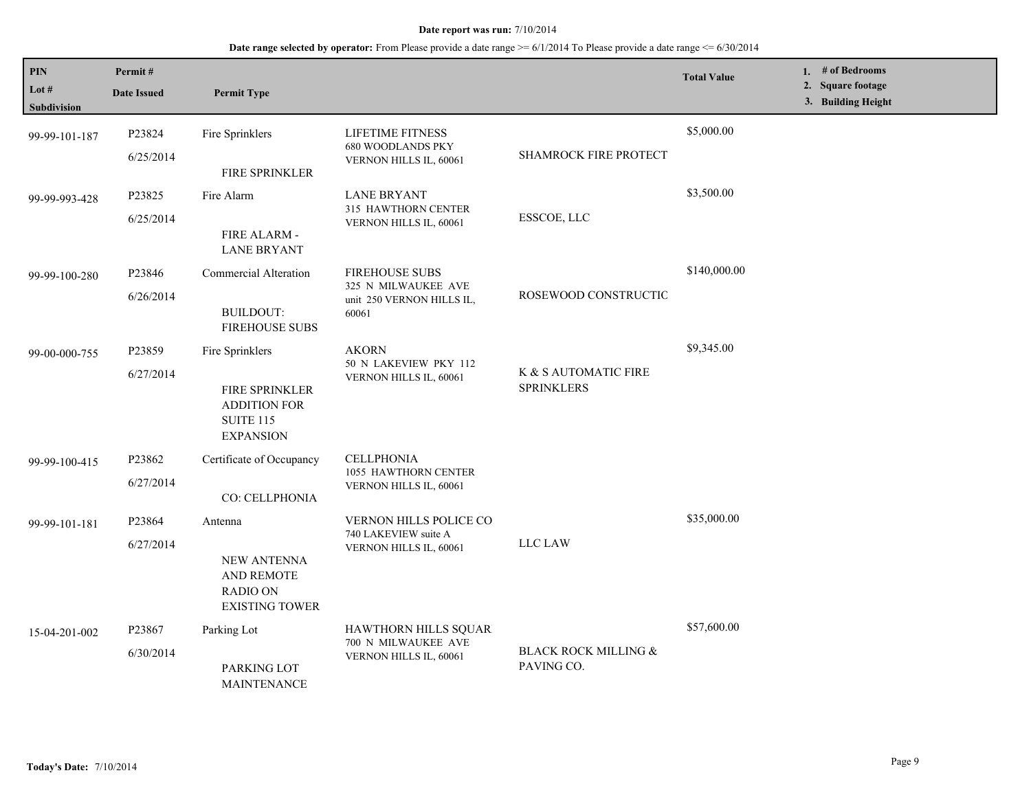| PIN<br>Lot $#$<br><b>Subdivision</b> | Permit#<br><b>Date Issued</b>   | <b>Permit Type</b>                                                                                      |                                                                                    |                                               | <b>Total Value</b> | 1. # of Bedrooms<br>2. Square footage<br>3. Building Height |
|--------------------------------------|---------------------------------|---------------------------------------------------------------------------------------------------------|------------------------------------------------------------------------------------|-----------------------------------------------|--------------------|-------------------------------------------------------------|
| 99-99-101-187                        | P23824<br>6/25/2014             | Fire Sprinklers<br>FIRE SPRINKLER                                                                       | LIFETIME FITNESS<br><b>680 WOODLANDS PKY</b><br>VERNON HILLS IL, 60061             | <b>SHAMROCK FIRE PROTECT</b>                  | \$5,000.00         |                                                             |
| 99-99-993-428                        | P23825<br>6/25/2014             | Fire Alarm<br>FIRE ALARM -<br><b>LANE BRYANT</b>                                                        | <b>LANE BRYANT</b><br>315 HAWTHORN CENTER<br>VERNON HILLS IL, 60061                | ESSCOE, LLC                                   | \$3,500.00         |                                                             |
| 99-99-100-280                        | P23846<br>6/26/2014             | <b>Commercial Alteration</b><br><b>BUILDOUT:</b><br><b>FIREHOUSE SUBS</b>                               | <b>FIREHOUSE SUBS</b><br>325 N MILWAUKEE AVE<br>unit 250 VERNON HILLS IL,<br>60061 | ROSEWOOD CONSTRUCTIC                          | \$140,000.00       |                                                             |
| 99-00-000-755                        | P23859<br>6/27/2014             | Fire Sprinklers<br><b>FIRE SPRINKLER</b><br><b>ADDITION FOR</b><br><b>SUITE 115</b><br><b>EXPANSION</b> | <b>AKORN</b><br>50 N LAKEVIEW PKY 112<br>VERNON HILLS IL, 60061                    | K & S AUTOMATIC FIRE<br><b>SPRINKLERS</b>     | \$9,345.00         |                                                             |
| 99-99-100-415                        | P23862<br>6/27/2014             | Certificate of Occupancy<br>CO: CELLPHONIA                                                              | <b>CELLPHONIA</b><br>1055 HAWTHORN CENTER<br>VERNON HILLS IL, 60061                |                                               |                    |                                                             |
| 99-99-101-181                        | P23864<br>6/27/2014             | Antenna<br><b>NEW ANTENNA</b><br>AND REMOTE<br><b>RADIO ON</b><br><b>EXISTING TOWER</b>                 | <b>VERNON HILLS POLICE CO</b><br>740 LAKEVIEW suite A<br>VERNON HILLS IL, 60061    | LLC LAW                                       | \$35,000.00        |                                                             |
| 15-04-201-002                        | P <sub>23867</sub><br>6/30/2014 | Parking Lot<br>PARKING LOT<br><b>MAINTENANCE</b>                                                        | <b>HAWTHORN HILLS SQUAR</b><br>700 N MILWAUKEE AVE<br>VERNON HILLS IL, 60061       | <b>BLACK ROCK MILLING &amp;</b><br>PAVING CO. | \$57,600.00        |                                                             |